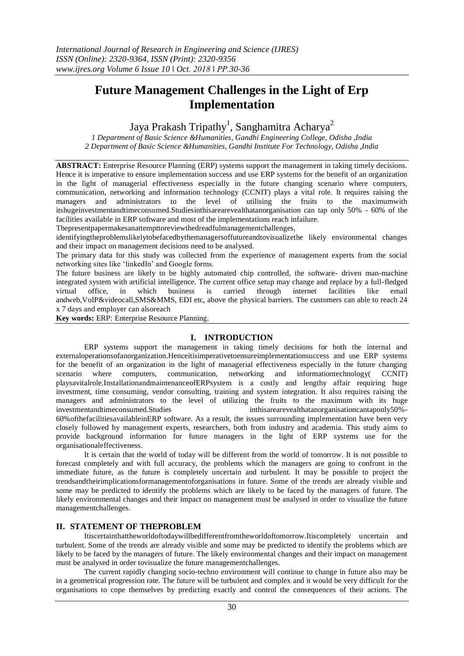# **Future Management Challenges in the Light of Erp Implementation**

# Jaya Prakash Tripathy<sup>1</sup>, Sanghamitra Acharya<sup>2</sup>

*1 Department of Basic Science &Humanities, Gandhi Engineering College, Odisha ,India 2 Department of Basic Science &Humanities, Gandhi Institute For Technology, Odisha ,India*

**ABSTRACT:** Enterprise Resource Planning (ERP) systems support the management in taking timely decisions. Hence it is imperative to ensure implementation success and use ERP systems for the benefit of an organization in the light of managerial effectiveness especially in the future changing scenario where computers, communication, networking and information technology (CCNIT) plays a vital role. It requires raising the managers and administrators to the level of utilising the fruits to the maximumwith itshugeinvestmentandtimeconsumed.Studiesinthisarearevealthatanorganisation can tap only 50% - 60% of the facilities available in ERP software and most of the implementations reach infailure.

Thepresentpapermakesanattempttoreviewthedreadfulmanagementchallenges,

identifyingtheproblemslikelytobefacedbythemanagersoffutureandtovisualizethe likely environmental changes and their impact on management decisions need to be analysed.

The primary data for this study was collected from the experience of management experts from the social networking sites like 'linkedIn' and Google forms.

The future business are likely to be highly automated chip controlled, the software- driven man-machine integrated system with artificial intelligence. The current office setup may change and replace by a full-fledged virtual office, in which business is carried through internet facilities like email andweb,VoIP&videocall,SMS&MMS, EDI etc, above the physical barriers. The customers can able to reach 24 x 7 days and employer can alsoreach

**Key words:** ERP: Enterprise Resource Planning.

## **I. INTRODUCTION**

ERP systems support the management in taking timely decisions for both the internal and externaloperationsofanorganization.Henceitisimperativetoensureimplementationsuccess and use ERP systems for the benefit of an organization in the light of managerial effectiveness especially in the future changing scenario where computers, communication, networking and informationtechnology( CCNIT) playsavitalrole.InstallationandmaintenanceofERPsystem is a costly and lengthy affair requiring huge investment, time consuming, vendor consulting, training and system integration. It also requires raising the managers and administrators to the level of utilizing the fruits to the maximum with its huge investmentandtimeconsumed.Studies inthisarearevealthatanorganisationcantaponly50%- 60%ofthefacilitiesavailableinERP software. As a result, the issues surrounding implementation have been very closely followed by management experts, researchers, both from industry and academia. This study aims to provide background information for future managers in the light of ERP systems use for the organisationaleffectiveness.

It is certain that the world of today will be different from the world of tomorrow. It is not possible to forecast completely and with full accuracy, the problems which the managers are going to confront in the immediate future, as the future is completely uncertain and turbulent. It may be possible to project the trendsandtheirimplicationsformanagementoforganisations in future. Some of the trends are already visible and some may be predicted to identify the problems which are likely to be faced by the managers of future. The likely environmental changes and their impact on management must be analysed in order to visualize the future managementchallenges.

## **II. STATEMENT OF THEPROBLEM**

Itiscertainthattheworldoftodaywillbedifferentfromtheworldoftomorrow.Itiscompletely uncertain and turbulent. Some of the trends are already visible and some may be predicted to identify the problems which are likely to be faced by the managers of future. The likely environmental changes and their impact on management must be analysed in order tovisualize the future managementchallenges.

The current rapidly changing socio-techno environment will continue to change in future also may be in a geometrical progression rate. The future will be turbulent and complex and it would be very difficult for the organisations to cope themselves by predicting exactly and control the consequences of their actions. The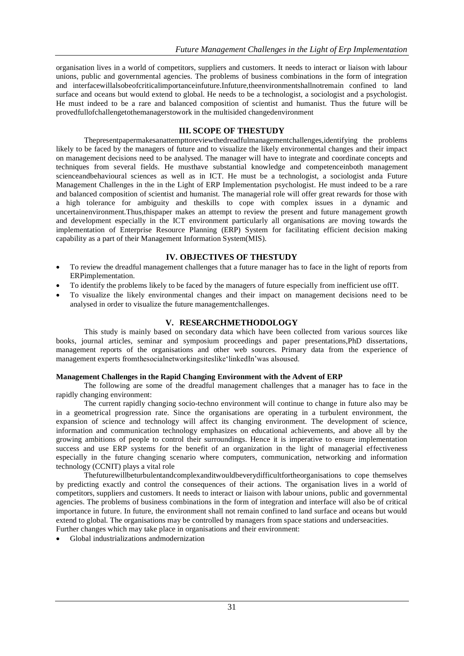organisation lives in a world of competitors, suppliers and customers. It needs to interact or liaison with labour unions, public and governmental agencies. The problems of business combinations in the form of integration and interfacewillalsobeofcriticalimportanceinfuture.Infuture,theenvironmentshallnotremain confined to land surface and oceans but would extend to global. He needs to be a technologist, a sociologist and a psychologist. He must indeed to be a rare and balanced composition of scientist and humanist. Thus the future will be provedfullofchallengetothemanagerstowork in the multisided changedenvironment

# **III. SCOPE OF THESTUDY**

Thepresentpapermakesanattempttoreviewthedreadfulmanagementchallenges,identifying the problems likely to be faced by the managers of future and to visualize the likely environmental changes and their impact on management decisions need to be analysed. The manager will have to integrate and coordinate concepts and techniques from several fields. He musthave substantial knowledge and competenceinboth management scienceandbehavioural sciences as well as in ICT. He must be a technologist, a sociologist anda Future Management Challenges in the in the Light of ERP Implementation psychologist. He must indeed to be a rare and balanced composition of scientist and humanist. The managerial role will offer great rewards for those with a high tolerance for ambiguity and theskills to cope with complex issues in a dynamic and uncertainenvironment.Thus,thispaper makes an attempt to review the present and future management growth and development especially in the ICT environment particularly all organisations are moving towards the implementation of Enterprise Resource Planning (ERP) System for facilitating efficient decision making capability as a part of their Management Information System(MIS).

# **IV. OBJECTIVES OF THESTUDY**

- To review the dreadful management challenges that a future manager has to face in the light of reports from ERPimplementation.
- To identify the problems likely to be faced by the managers of future especially from inefficient use ofIT.
- To visualize the likely environmental changes and their impact on management decisions need to be analysed in order to visualize the future managementchallenges.

## **V. RESEARCHMETHODOLOGY**

This study is mainly based on secondary data which have been collected from various sources like books, journal articles, seminar and symposium proceedings and paper presentations,PhD dissertations, management reports of the organisations and other web sources. Primary data from the experience of management experts fromthesocialnetworkingsiteslike'linkedIn'was alsoused.

## **Management Challenges in the Rapid Changing Environment with the Advent of ERP**

The following are some of the dreadful management challenges that a manager has to face in the rapidly changing environment:

The current rapidly changing socio-techno environment will continue to change in future also may be in a geometrical progression rate. Since the organisations are operating in a turbulent environment, the expansion of science and technology will affect its changing environment. The development of science, information and communication technology emphasizes on educational achievements, and above all by the growing ambitions of people to control their surroundings. Hence it is imperative to ensure implementation success and use ERP systems for the benefit of an organization in the light of managerial effectiveness especially in the future changing scenario where computers, communication, networking and information technology (CCNIT) plays a vital role

Thefuturewillbeturbulentandcomplexanditwouldbeverydifficultfortheorganisations to cope themselves by predicting exactly and control the consequences of their actions. The organisation lives in a world of competitors, suppliers and customers. It needs to interact or liaison with labour unions, public and governmental agencies. The problems of business combinations in the form of integration and interface will also be of critical importance in future. In future, the environment shall not remain confined to land surface and oceans but would extend to global. The organisations may be controlled by managers from space stations and underseacities. Further changes which may take place in organisations and their environment:

Global industrializations andmodernization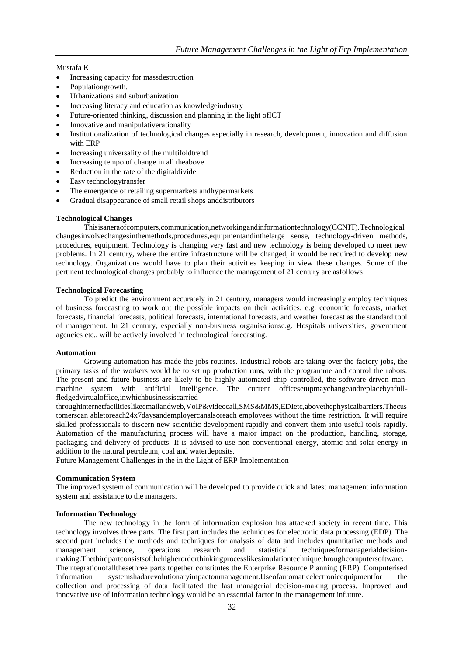#### Mustafa K

- Increasing capacity for massdestruction
- Populationgrowth.
- Urbanizations and suburbanization
- Increasing literacy and education as knowledgeindustry
- Future-oriented thinking, discussion and planning in the light ofICT
- Innovative and manipulativerationality
- Institutionalization of technological changes especially in research, development, innovation and diffusion with ERP
- Increasing universality of the multifoldtrend
- Increasing tempo of change in all theabove
- Reduction in the rate of the digitaldivide.
- Easy technologytransfer
- The emergence of retailing supermarkets andhypermarkets
- Gradual disappearance of small retail shops anddistributors

#### **Technological Changes**

Thisisaneraofcomputers,communication,networkingandinformationtechnology(CCNIT).Technological changesinvolvechangesinthemethods,procedures,equipmentandinthelarge sense, technology-driven methods, procedures, equipment. Technology is changing very fast and new technology is being developed to meet new problems. In 21 century, where the entire infrastructure will be changed, it would be required to develop new technology. Organizations would have to plan their activities keeping in view these changes. Some of the pertinent technological changes probably to influence the management of 21 century are asfollows:

#### **Technological Forecasting**

To predict the environment accurately in 21 century, managers would increasingly employ techniques of business forecasting to work out the possible impacts on their activities, e.g. economic forecasts, market forecasts, financial forecasts, political forecasts, international forecasts, and weather forecast as the standard tool of management. In 21 century, especially non-business organisationse.g. Hospitals universities, government agencies etc., will be actively involved in technological forecasting.

#### **Automation**

Growing automation has made the jobs routines. Industrial robots are taking over the factory jobs, the primary tasks of the workers would be to set up production runs, with the programme and control the robots. The present and future business are likely to be highly automated chip controlled, the software-driven manmachine system with artificial intelligence. The current officesetupmaychangeandreplacebyafullfledgedvirtualoffice,inwhichbusinessiscarried

throughinternetfacilitieslikeemailandweb,VoIP&videocall,SMS&MMS,EDIetc,abovethephysicalbarriers.Thecus tomerscan abletoreach24x7daysandemployercanalsoreach employees without the time restriction. It will require skilled professionals to discern new scientific development rapidly and convert them into useful tools rapidly. Automation of the manufacturing process will have a major impact on the production, handling, storage, packaging and delivery of products. It is advised to use non-conventional energy, atomic and solar energy in addition to the natural petroleum, coal and waterdeposits.

Future Management Challenges in the in the Light of ERP Implementation

#### **Communication System**

The improved system of communication will be developed to provide quick and latest management information system and assistance to the managers.

#### **Information Technology**

The new technology in the form of information explosion has attacked society in recent time. This technology involves three parts. The first part includes the techniques for electronic data processing (EDP). The second part includes the methods and techniques for analysis of data and includes quantitative methods and management science, operations research and statistical techniquesformanagerialdecisionmaking.Thethirdpartconsistsofthehigherorderthinkingprocesslikesimulationtechniquethroughcomputersoftware. Theintegrationofallthesethree parts together constitutes the Enterprise Resource Planning (ERP). Computerised information systemshadarevolutionaryimpactonmanagement.Useofautomaticelectronicequipmentfor the collection and processing of data facilitated the fast managerial decision-making process. Improved and innovative use of information technology would be an essential factor in the management infuture.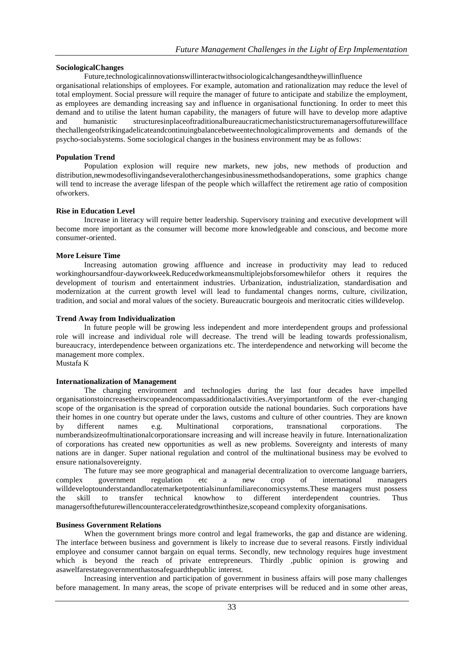## **SociologicalChanges**

Future,technologicalinnovationswillinteractwithsociologicalchangesandtheywillinfluence organisational relationships of employees. For example, automation and rationalization may reduce the level of total employment. Social pressure will require the manager of future to anticipate and stabilize the employment, as employees are demanding increasing say and influence in organisational functioning. In order to meet this demand and to utilise the latent human capability, the managers of future will have to develop more adaptive and humanistic structuresinplaceoftraditionalbureaucraticmechanisticstructuremanagersoffuturewillface thechallengeofstrikingadelicateandcontinuingbalancebetweentechnologicalimprovements and demands of the psycho-socialsystems. Some sociological changes in the business environment may be as follows:

## **Population Trend**

Population explosion will require new markets, new jobs, new methods of production and distribution,newmodesoflivingandseveralotherchangesinbusinessmethodsandoperations, some graphics change will tend to increase the average lifespan of the people which willaffect the retirement age ratio of composition ofworkers.

## **Rise in Education Level**

Increase in literacy will require better leadership. Supervisory training and executive development will become more important as the consumer will become more knowledgeable and conscious, and become more consumer-oriented.

## **More Leisure Time**

Increasing automation growing affluence and increase in productivity may lead to reduced workinghoursandfour-dayworkweek.Reducedworkmeansmultiplejobsforsomewhilefor others it requires the development of tourism and entertainment industries. Urbanization, industrialization, standardisation and modernization at the current growth level will lead to fundamental changes norms, culture, civilization, tradition, and social and moral values of the society. Bureaucratic bourgeois and meritocratic cities willdevelop.

## **Trend Away from Individualization**

In future people will be growing less independent and more interdependent groups and professional role will increase and individual role will decrease. The trend will be leading towards professionalism, bureaucracy, interdependence between organizations etc. The interdependence and networking will become the management more complex.

Mustafa K

## **Internationalization of Management**

The changing environment and technologies during the last four decades have impelled organisationstoincreasetheirscopeandencompassadditionalactivities.Averyimportantform of the ever-changing scope of the organisation is the spread of corporation outside the national boundaries. Such corporations have their homes in one country but operate under the laws, customs and culture of other countries. They are known by different names e.g. Multinational corporations, transnational corporations. The numberandsizeofmultinationalcorporationsare increasing and will increase heavily in future. Internationalization of corporations has created new opportunities as well as new problems. Sovereignty and interests of many nations are in danger. Super national regulation and control of the multinational business may be evolved to ensure nationalsovereignty.

The future may see more geographical and managerial decentralization to overcome language barriers, complex government regulation etc a new crop of international managers willdeveloptounderstandandlocatemarketpotentialsinunfamiliareconomicsystems.These managers must possess the skill to transfer technical knowhow to different interdependent countries. Thus the skill to transfer technical knowhow to different interdependent countries. Thus managersofthefuturewillencounteracceleratedgrowthinthesize,scopeand complexity oforganisations.

## **Business Government Relations**

When the government brings more control and legal frameworks, the gap and distance are widening. The interface between business and government is likely to increase due to several reasons. Firstly individual employee and consumer cannot bargain on equal terms. Secondly, new technology requires huge investment which is beyond the reach of private entrepreneurs. Thirdly ,public opinion is growing and asawelfarestategovernmenthastosafeguardthepublic interest.

Increasing intervention and participation of government in business affairs will pose many challenges before management. In many areas, the scope of private enterprises will be reduced and in some other areas,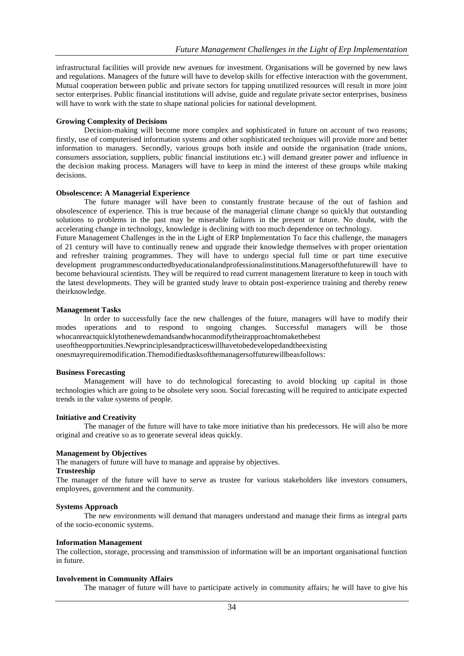infrastructural facilities will provide new avenues for investment. Organisations will be governed by new laws and regulations. Managers of the future will have to develop skills for effective interaction with the government. Mutual cooperation between public and private sectors for tapping unutilized resources will result in more joint sector enterprises. Public financial institutions will advise, guide and regulate private sector enterprises, business will have to work with the state to shape national policies for national development.

#### **Growing Complexity of Decisions**

Decision-making will become more complex and sophisticated in future on account of two reasons; firstly, use of computerised information systems and other sophisticated techniques will provide more and better information to managers. Secondly, various groups both inside and outside the organisation (trade unions, consumers association, suppliers, public financial institutions etc.) will demand greater power and influence in the decision making process. Managers will have to keep in mind the interest of these groups while making decisions.

#### **Obsolescence: A Managerial Experience**

The future manager will have been to constantly frustrate because of the out of fashion and obsolescence of experience. This is true because of the managerial climate change so quickly that outstanding solutions to problems in the past may be miserable failures in the present or future. No doubt, with the accelerating change in technology, knowledge is declining with too much dependence on technology.

Future Management Challenges in the in the Light of ERP Implementation To face this challenge, the managers of 21 century will have to continually renew and upgrade their knowledge themselves with proper orientation and refresher training programmes. They will have to undergo special full time or part time executive development programmesconductedbyeducationalandprofessionalinstitutions.Managersofthefuturewill have to become behavioural scientists. They will be required to read current management literature to keep in touch with the latest developments. They will be granted study leave to obtain post-experience training and thereby renew theirknowledge.

#### **Management Tasks**

In order to successfully face the new challenges of the future, managers will have to modify their modes operations and to respond to ongoing changes. Successful managers will be those whocanreactquicklytothenewdemandsandwhocanmodifytheirapproachtomakethebest useoftheopportunities.Newprinciplesandpracticeswillhavetobedevelopedandtheexisting

onesmayrequiremodification.Themodifiedtasksofthemanagersoffuturewillbeasfollows:

#### **Business Forecasting**

Management will have to do technological forecasting to avoid blocking up capital in those technologies which are going to be obsolete very soon. Social forecasting will be required to anticipate expected trends in the value systems of people.

#### **Initiative and Creativity**

The manager of the future will have to take more initiative than his predecessors. He will also be more original and creative so as to generate several ideas quickly.

#### **Management by Objectives**

The managers of future will have to manage and appraise by objectives.

#### **Trusteeship**

The manager of the future will have to serve as trustee for various stakeholders like investors consumers, employees, government and the community.

#### **Systems Approach**

The new environments will demand that managers understand and manage their firms as integral parts of the socio-economic systems.

#### **Information Management**

The collection, storage, processing and transmission of information will be an important organisational function in future.

#### **Involvement in Community Affairs**

The manager of future will have to participate actively in community affairs; he will have to give his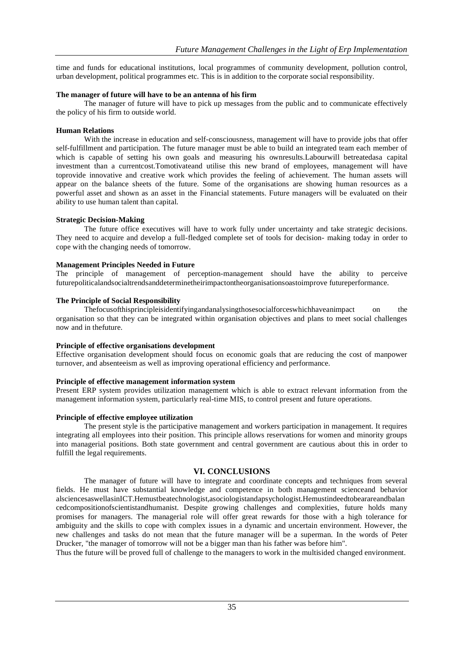time and funds for educational institutions, local programmes of community development, pollution control, urban development, political programmes etc. This is in addition to the corporate social responsibility.

## **The manager of future will have to be an antenna of his firm**

The manager of future will have to pick up messages from the public and to communicate effectively the policy of his firm to outside world.

#### **Human Relations**

With the increase in education and self-consciousness, management will have to provide jobs that offer self-fulfillment and participation. The future manager must be able to build an integrated team each member of which is capable of setting his own goals and measuring his ownresults.Labourwill betreatedasa capital investment than a currentcost.Tomotivateand utilise this new brand of employees, management will have toprovide innovative and creative work which provides the feeling of achievement. The human assets will appear on the balance sheets of the future. Some of the organisations are showing human resources as a powerful asset and shown as an asset in the Financial statements. Future managers will be evaluated on their ability to use human talent than capital.

#### **Strategic Decision-Making**

The future office executives will have to work fully under uncertainty and take strategic decisions. They need to acquire and develop a full-fledged complete set of tools for decision- making today in order to cope with the changing needs of tomorrow.

#### **Management Principles Needed in Future**

The principle of management of perception-management should have the ability to perceive futurepoliticalandsocialtrendsanddeterminetheirimpactontheorganisationsoastoimprove futureperformance.

#### **The Principle of Social Responsibility**

Thefocusofthisprincipleisidentifyingandanalysingthosesocialforceswhichhaveanimpact on the organisation so that they can be integrated within organisation objectives and plans to meet social challenges now and in thefuture.

## **Principle of effective organisations development**

Effective organisation development should focus on economic goals that are reducing the cost of manpower turnover, and absenteeism as well as improving operational efficiency and performance.

## **Principle of effective management information system**

Present ERP system provides utilization management which is able to extract relevant information from the management information system, particularly real-time MIS, to control present and future operations.

## **Principle of effective employee utilization**

The present style is the participative management and workers participation in management. It requires integrating all employees into their position. This principle allows reservations for women and minority groups into managerial positions. Both state government and central government are cautious about this in order to fulfill the legal requirements.

## **VI. CONCLUSIONS**

The manager of future will have to integrate and coordinate concepts and techniques from several fields. He must have substantial knowledge and competence in both management scienceand behavior alsciencesaswellasinICT.Hemustbeatechnologist,asociologistandapsychologist.Hemustindeedtobearareandbalan cedcompositionofscientistandhumanist. Despite growing challenges and complexities, future holds many promises for managers. The managerial role will offer great rewards for those with a high tolerance for ambiguity and the skills to cope with complex issues in a dynamic and uncertain environment. However, the new challenges and tasks do not mean that the future manager will be a superman. In the words of Peter Drucker, "the manager of tomorrow will not be a bigger man than his father was before him".

Thus the future will be proved full of challenge to the managers to work in the multisided changed environment.